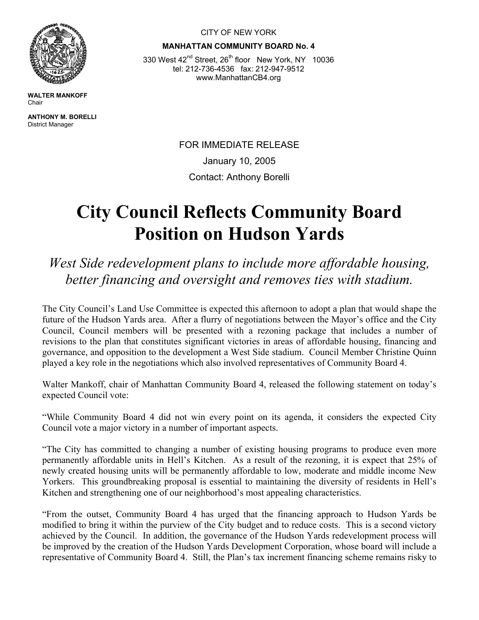

**WALTER MANKOFF**  Chair

**ANTHONY M. BORELLI**  District Manager

CITY OF NEW YORK

**MANHATTAN COMMUNITY BOARD No. 4** 

330 West 42<sup>nd</sup> Street, 26<sup>th</sup> floor New York, NY 10036 tel: 212-736-4536 fax: 212-947-9512 www.ManhattanCB4.org

> FOR IMMEDIATE RELEASE January 10, 2005 Contact: Anthony Borelli

## **City Council Reflects Community Board Position on Hudson Yards**

*West Side redevelopment plans to include more affordable housing, better financing and oversight and removes ties with stadium.* 

The City Council's Land Use Committee is expected this afternoon to adopt a plan that would shape the future of the Hudson Yards area. After a flurry of negotiations between the Mayor's office and the City Council, Council members will be presented with a rezoning package that includes a number of revisions to the plan that constitutes significant victories in areas of affordable housing, financing and governance, and opposition to the development a West Side stadium. Council Member Christine Quinn played a key role in the negotiations which also involved representatives of Community Board 4.

Walter Mankoff, chair of Manhattan Community Board 4, released the following statement on today's expected Council vote:

"While Community Board 4 did not win every point on its agenda, it considers the expected City Council vote a major victory in a number of important aspects.

"The City has committed to changing a number of existing housing programs to produce even more permanently affordable units in Hell's Kitchen. As a result of the rezoning, it is expect that 25% of newly created housing units will be permanently affordable to low, moderate and middle income New Yorkers. This groundbreaking proposal is essential to maintaining the diversity of residents in Hell's Kitchen and strengthening one of our neighborhood's most appealing characteristics.

"From the outset, Community Board 4 has urged that the financing approach to Hudson Yards be modified to bring it within the purview of the City budget and to reduce costs. This is a second victory achieved by the Council. In addition, the governance of the Hudson Yards redevelopment process will be improved by the creation of the Hudson Yards Development Corporation, whose board will include a representative of Community Board 4. Still, the Plan's tax increment financing scheme remains risky to